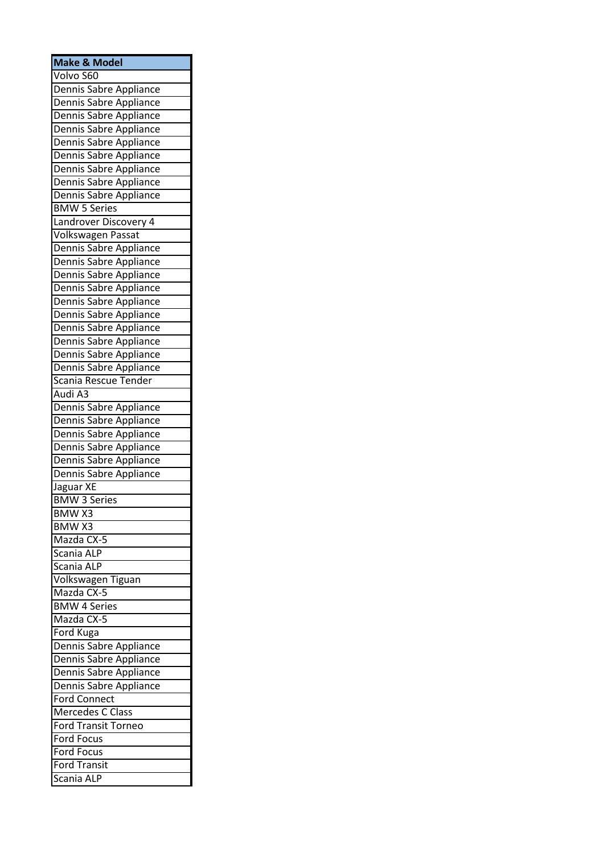| <b>Make &amp; Model</b>                          |
|--------------------------------------------------|
| Volvo S60                                        |
| Dennis Sabre Appliance                           |
| Dennis Sabre Appliance                           |
| Dennis Sabre Appliance                           |
| Dennis Sabre Appliance                           |
| Dennis Sabre Appliance                           |
| Dennis Sabre Appliance                           |
| Dennis Sabre Appliance<br>Dennis Sabre Appliance |
|                                                  |
| Dennis Sabre Appliance                           |
| <b>BMW 5 Series</b>                              |
| Landrover Discovery 4                            |
| Volkswagen Passat                                |
| Dennis Sabre Appliance                           |
| Dennis Sabre Appliance                           |
| Dennis Sabre Appliance                           |
| Dennis Sabre Appliance                           |
| Dennis Sabre Appliance                           |
| Dennis Sabre Appliance                           |
| Dennis Sabre Appliance                           |
| Dennis Sabre Appliance                           |
| Dennis Sabre Appliance                           |
| Dennis Sabre Appliance                           |
| Scania Rescue Tender                             |
| Audi A3                                          |
| Dennis Sabre Appliance                           |
| Dennis Sabre Appliance                           |
| Dennis Sabre Appliance                           |
| Dennis Sabre Appliance                           |
| Dennis Sabre Appliance                           |
| Dennis Sabre Appliance                           |
| Jaguar XE                                        |
| <b>BMW 3 Series</b>                              |
| BMW X3                                           |
| <b>BMWX3</b>                                     |
| Mazda CX-5                                       |
| Scania ALP                                       |
| Scania ALP                                       |
| Volkswagen Tiguan                                |
| Mazda CX-5                                       |
| <b>BMW 4 Series</b>                              |
| Mazda CX-5                                       |
| Ford Kuga                                        |
| Dennis Sabre Appliance                           |
| Dennis Sabre Appliance                           |
| Dennis Sabre Appliance                           |
| Dennis Sabre Appliance                           |
| <b>Ford Connect</b>                              |
| Mercedes C Class                                 |
| <b>Ford Transit Torneo</b>                       |
| <b>Ford Focus</b>                                |
| <b>Ford Focus</b>                                |
| <b>Ford Transit</b>                              |
| Scania ALP                                       |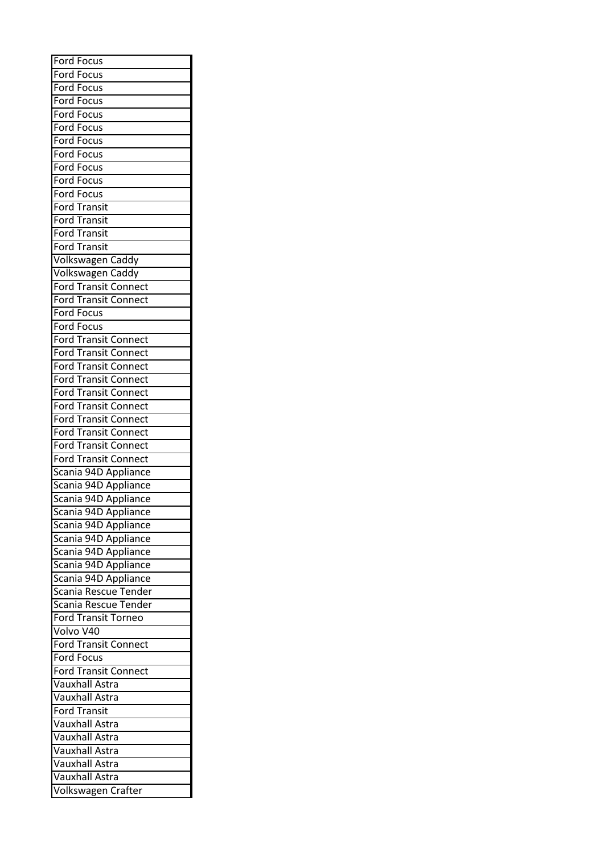| <b>Ford Focus</b>           |
|-----------------------------|
| Ford Focus                  |
| Ford Focus                  |
| <b>Ford Focus</b>           |
| <b>Ford Focus</b>           |
| <b>Ford Focus</b>           |
| Ford Focus                  |
| Ford Focus                  |
| <b>Ford Focus</b>           |
| <b>Ford Focus</b>           |
| <b>Ford Focus</b>           |
|                             |
| <b>Ford Transit</b>         |
| <b>Ford Transit</b>         |
| <b>Ford Transit</b>         |
| <b>Ford Transit</b>         |
| Volkswagen Caddy            |
| Volkswagen Caddy            |
| <b>Ford Transit Connect</b> |
| <b>Ford Transit Connect</b> |
| <b>Ford Focus</b>           |
| <b>Ford Focus</b>           |
| <b>Ford Transit Connect</b> |
| <b>Ford Transit Connect</b> |
| Ford Transit Connect        |
| <b>Ford Transit Connect</b> |
| <b>Ford Transit Connect</b> |
| <b>Ford Transit Connect</b> |
| <b>Ford Transit Connect</b> |
| <b>Ford Transit Connect</b> |
| <b>Ford Transit Connect</b> |
| <b>Ford Transit Connect</b> |
| Scania 94D Appliance        |
| Scania 94D Appliance        |
| Scania 94D Appliance        |
|                             |
| Scania 94D Appliance        |
| Scania 94D Appliance        |
| Scania 94D Appliance        |
| Scania 94D Appliance        |
| Scania 94D Appliance        |
| Scania 94D Appliance        |
| Scania Rescue Tender        |
| Scania Rescue Tender        |
| <b>Ford Transit Torneo</b>  |
| Volvo V40                   |
| <b>Ford Transit Connect</b> |
| <b>Ford Focus</b>           |
| <b>Ford Transit Connect</b> |
| <b>Vauxhall Astra</b>       |
| <b>Vauxhall Astra</b>       |
| <b>Ford Transit</b>         |
| <b>Vauxhall Astra</b>       |
| <b>Vauxhall Astra</b>       |
| <b>Vauxhall Astra</b>       |
| Vauxhall Astra              |
| <b>Vauxhall Astra</b>       |
| Volkswagen Crafter          |
|                             |